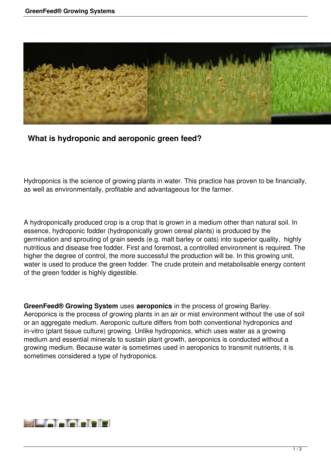

## **What is hydroponic and aeroponic green feed?**

Hydroponics is the science of growing plants in water. This practice has proven to be financially, as well as environmentally, profitable and advantageous for the farmer.

A hydroponically produced crop is a crop that is grown in a medium other than natural soil. In essence, hydroponic fodder (hydroponically grown cereal plants) is produced by the germination and sprouting of grain seeds (e.g. malt barley or oats) into superior quality, highly nutritious and disease free fodder. First and foremost, a controlled environment is required. The higher the degree of control, the more successful the production will be. In this growing unit, water is used to produce the green fodder. The crude protein and metabolisable energy content of the green fodder is highly digestible.

**GreenFeed® Growing System** uses **aeroponics** in the process of growing Barley. Aeroponics is the process of growing plants in an air or mist environment without the use of soil or an aggregate medium. Aeroponic culture differs from both conventional hydroponics and in-vitro (plant tissue culture) growing. Unlike hydroponics, which uses water as a growing medium and essential minerals to sustain plant growth, aeroponics is conducted without a growing medium. Because water is sometimes used in aeroponics to transmit nutrients, it is sometimes considered a type of hydroponics.

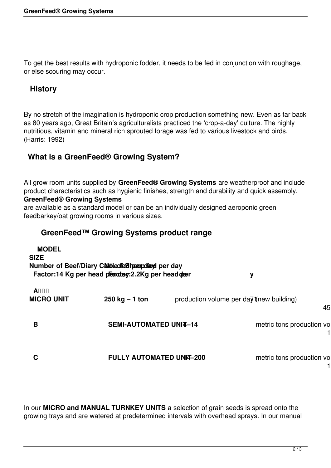To get the best results with hydroponic fodder, it needs to be fed in conjunction with roughage, or else scouring may occur.

## **History**

By no stretch of the imagination is hydroponic crop production something new. Even as far back as 80 years ago, Great Britain's agriculturalists practiced the 'crop-a-day' culture. The highly nutritious, vitamin and mineral rich sprouted forage was fed to various livestock and birds. (Harris: 1992)

## **What is a GreenFeed® Growing System?**

All grow room units supplied by **GreenFeed® Growing Systems** are weatherproof and include product characteristics such as hygienic finishes, strength and durability and quick assembly. **GreenFeed® Growing Systems** 

are available as a standard model or can be an individually designed aeroponic green feedbarkey/oat growing rooms in various sizes.

## **GreenFeed™ Growing Systems product range**

| <b>MODEL</b><br><b>SIZE</b>       | Number of Beef/Diary Calible of estimating per day<br>Factor:14 Kg per head pearcharg: 2.2Kg per head oper |  | y                                        |    |
|-----------------------------------|------------------------------------------------------------------------------------------------------------|--|------------------------------------------|----|
| <b>A</b> DDD<br><b>MICRO UNIT</b> | $250$ kg $-1$ ton                                                                                          |  | production volume per day (new building) | 45 |
| B                                 | <b>SEMI-AUTOMATED UNI4-14</b>                                                                              |  | metric tons production vol               |    |
| С                                 | <b>FULLY AUTOMATED UNIT-200</b>                                                                            |  | metric tons production vol               |    |

In our **MICRO and MANUAL TURNKEY UNITS** a selection of grain seeds is spread onto the growing trays and are watered at predetermined intervals with overhead sprays. In our manual